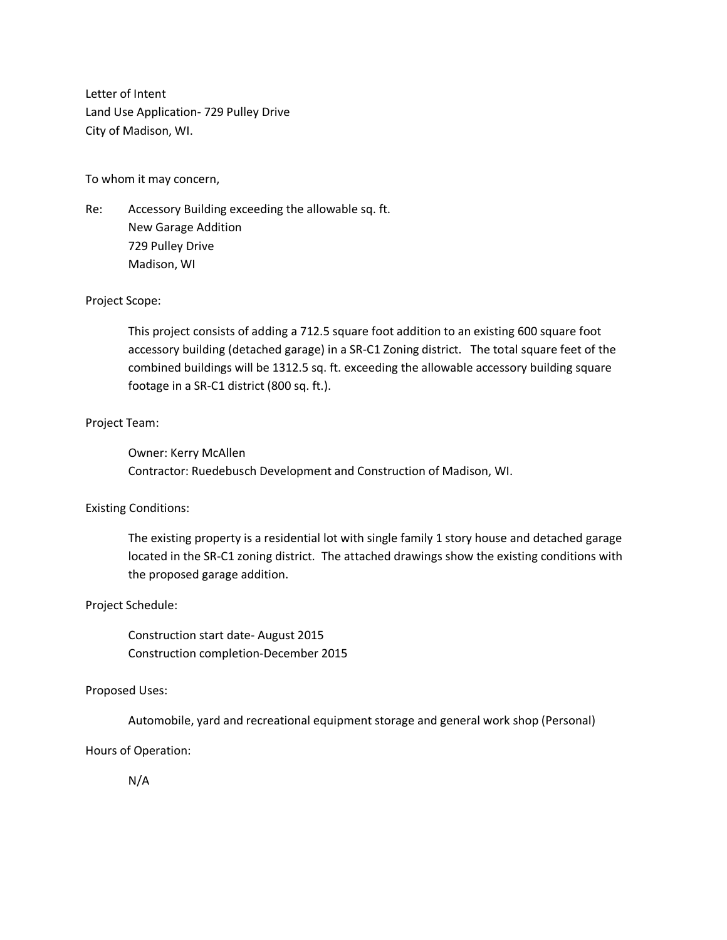Letter of Intent Land Use Application- 729 Pulley Drive City of Madison, WI.

To whom it may concern,

Re: Accessory Building exceeding the allowable sq. ft. New Garage Addition 729 Pulley Drive Madison, WI

# Project Scope:

This project consists of adding a 712.5 square foot addition to an existing 600 square foot accessory building (detached garage) in a SR-C1 Zoning district. The total square feet of the combined buildings will be 1312.5 sq. ft. exceeding the allowable accessory building square footage in a SR-C1 district (800 sq. ft.).

# Project Team:

Owner: Kerry McAllen Contractor: Ruedebusch Development and Construction of Madison, WI.

# Existing Conditions:

The existing property is a residential lot with single family 1 story house and detached garage located in the SR-C1 zoning district. The attached drawings show the existing conditions with the proposed garage addition.

# Project Schedule:

Construction start date- August 2015 Construction completion-December 2015

# Proposed Uses:

Automobile, yard and recreational equipment storage and general work shop (Personal)

Hours of Operation:

N/A